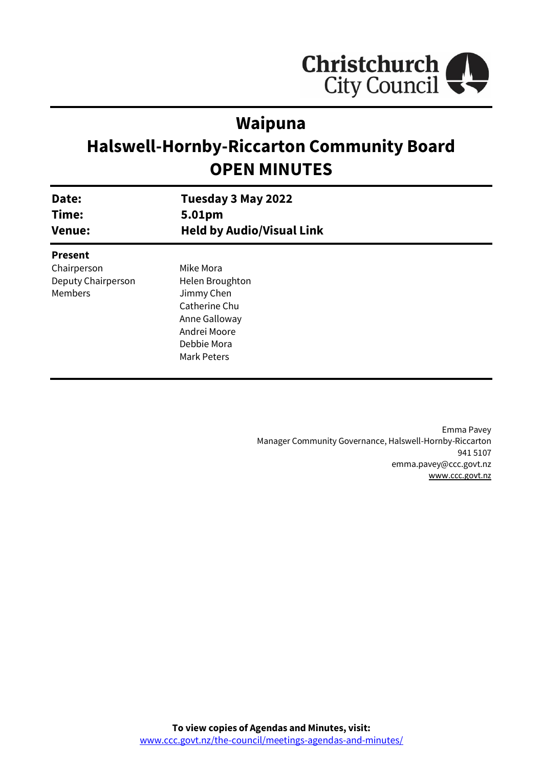

# **Waipuna**

# **Halswell-Hornby-Riccarton Community Board OPEN MINUTES**

| Date:<br>Time:<br><b>Venue:</b> | Tuesday 3 May 2022<br>5.01pm<br><b>Held by Audio/Visual Link</b> |  |
|---------------------------------|------------------------------------------------------------------|--|
| <b>Present</b>                  |                                                                  |  |
| Chairperson                     | Mike Mora                                                        |  |
| Deputy Chairperson              | Helen Broughton                                                  |  |
| Members                         | Jimmy Chen                                                       |  |
|                                 | Catherine Chu                                                    |  |
|                                 | Anne Galloway                                                    |  |
|                                 | Andrei Moore                                                     |  |
|                                 | Debbie Mora                                                      |  |
|                                 | Mark Peters                                                      |  |
|                                 |                                                                  |  |

Emma Pavey Manager Community Governance, Halswell-Hornby-Riccarton 941 5107 emma.pavey@ccc.govt.nz [www.ccc.govt.nz](http://www.ccc.govt.nz/)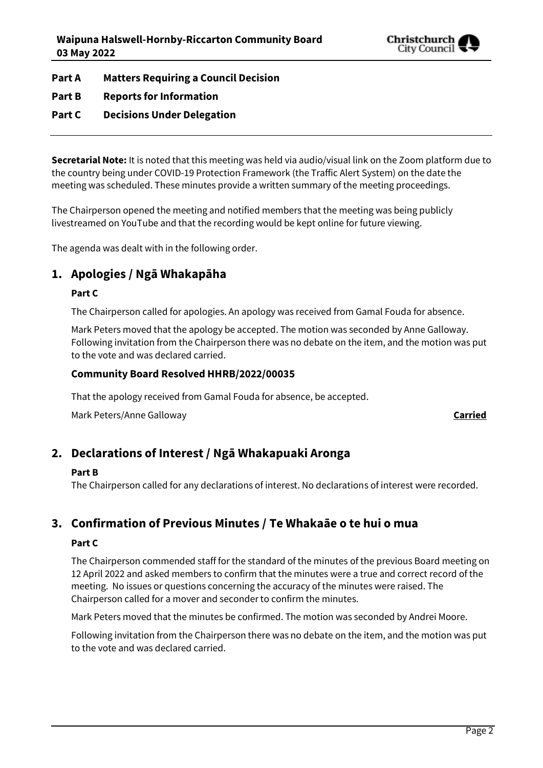

**Part A Matters Requiring a Council Decision**

**Part B Reports for Information**

## **Part C Decisions Under Delegation**

**Secretarial Note:** It is noted that this meeting was held via audio/visual link on the Zoom platform due to the country being under COVID-19 Protection Framework (the Traffic Alert System) on the date the meeting was scheduled. These minutes provide a written summary of the meeting proceedings.

The Chairperson opened the meeting and notified members that the meeting was being publicly livestreamed on YouTube and that the recording would be kept online for future viewing.

The agenda was dealt with in the following order.

## **1. Apologies / Ngā Whakapāha**

## **Part C**

The Chairperson called for apologies. An apology was received from Gamal Fouda for absence.

Mark Peters moved that the apology be accepted. The motion was seconded by Anne Galloway. Following invitation from the Chairperson there was no debate on the item, and the motion was put to the vote and was declared carried.

## **Community Board Resolved HHRB/2022/00035**

That the apology received from Gamal Fouda for absence, be accepted.

Mark Peters/Anne Galloway **Carried**

## **2. Declarations of Interest / Ngā Whakapuaki Aronga**

#### **Part B**

The Chairperson called for any declarations of interest. No declarations of interest were recorded.

## **3. Confirmation of Previous Minutes / Te Whakaāe o te hui o mua**

#### **Part C**

The Chairperson commended staff for the standard of the minutes of the previous Board meeting on 12 April 2022 and asked members to confirm that the minutes were a true and correct record of the meeting. No issues or questions concerning the accuracy of the minutes were raised. The Chairperson called for a mover and seconder to confirm the minutes.

Mark Peters moved that the minutes be confirmed. The motion was seconded by Andrei Moore.

Following invitation from the Chairperson there was no debate on the item, and the motion was put to the vote and was declared carried.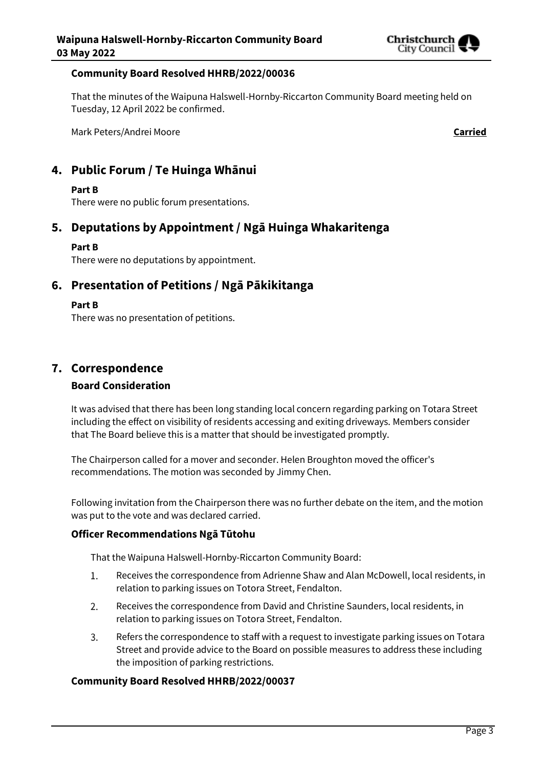

#### **Community Board Resolved HHRB/2022/00036**

That the minutes of the Waipuna Halswell-Hornby-Riccarton Community Board meeting held on Tuesday, 12 April 2022 be confirmed.

Mark Peters/Andrei Moore **Carried**

## **4. Public Forum / Te Huinga Whānui**

## **Part B**

There were no public forum presentations.

## **5. Deputations by Appointment / Ngā Huinga Whakaritenga**

## **Part B**

There were no deputations by appointment.

## **6. Presentation of Petitions / Ngā Pākikitanga**

#### **Part B**

There was no presentation of petitions.

## **7. Correspondence**

## **Board Consideration**

It was advised that there has been long standing local concern regarding parking on Totara Street including the effect on visibility of residents accessing and exiting driveways. Members consider that The Board believe this is a matter that should be investigated promptly.

The Chairperson called for a mover and seconder. Helen Broughton moved the officer's recommendations. The motion was seconded by Jimmy Chen.

Following invitation from the Chairperson there was no further debate on the item, and the motion was put to the vote and was declared carried.

## **Officer Recommendations Ngā Tūtohu**

That the Waipuna Halswell-Hornby-Riccarton Community Board:

- 1. Receives the correspondence from Adrienne Shaw and Alan McDowell, local residents, in relation to parking issues on Totora Street, Fendalton.
- $2.$ Receives the correspondence from David and Christine Saunders, local residents, in relation to parking issues on Totora Street, Fendalton.
- $\overline{3}$ . Refers the correspondence to staff with a request to investigate parking issues on Totara Street and provide advice to the Board on possible measures to address these including the imposition of parking restrictions.

## **Community Board Resolved HHRB/2022/00037**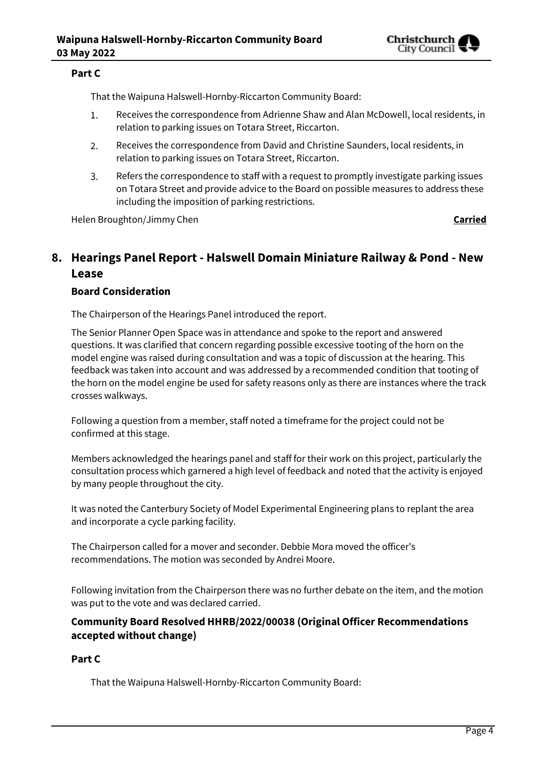

## **Part C**

That the Waipuna Halswell-Hornby-Riccarton Community Board:

- 1. Receives the correspondence from Adrienne Shaw and Alan McDowell, local residents, in relation to parking issues on Totara Street, Riccarton.
- $2.$ Receives the correspondence from David and Christine Saunders, local residents, in relation to parking issues on Totara Street, Riccarton.
- 3. Refers the correspondence to staff with a request to promptly investigate parking issues on Totara Street and provide advice to the Board on possible measures to address these including the imposition of parking restrictions.

Helen Broughton/Jimmy Chen **Carried**

## **8. Hearings Panel Report - Halswell Domain Miniature Railway & Pond - New Lease**

## **Board Consideration**

The Chairperson of the Hearings Panel introduced the report.

The Senior Planner Open Space was in attendance and spoke to the report and answered questions. It was clarified that concern regarding possible excessive tooting of the horn on the model engine was raised during consultation and was a topic of discussion at the hearing. This feedback was taken into account and was addressed by a recommended condition that tooting of the horn on the model engine be used for safety reasons only as there are instances where the track crosses walkways.

Following a question from a member, staff noted a timeframe for the project could not be confirmed at this stage.

Members acknowledged the hearings panel and staff for their work on this project, particularly the consultation process which garnered a high level of feedback and noted that the activity is enjoyed by many people throughout the city.

It was noted the Canterbury Society of Model Experimental Engineering plans to replant the area and incorporate a cycle parking facility.

The Chairperson called for a mover and seconder. Debbie Mora moved the officer's recommendations. The motion was seconded by Andrei Moore.

Following invitation from the Chairperson there was no further debate on the item, and the motion was put to the vote and was declared carried.

## **Community Board Resolved HHRB/2022/00038 (Original Officer Recommendations accepted without change)**

## **Part C**

That the Waipuna Halswell-Hornby-Riccarton Community Board: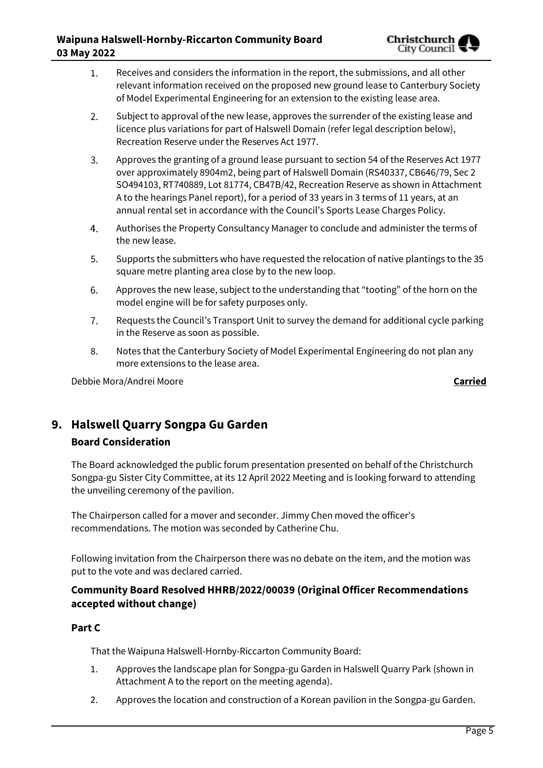- Receives and considers the information in the report, the submissions, and all other 1. relevant information received on the proposed new ground lease to Canterbury Society of Model Experimental Engineering for an extension to the existing lease area.
- $2.$ Subject to approval of the new lease, approves the surrender of the existing lease and licence plus variations for part of Halswell Domain (refer legal description below), Recreation Reserve under the Reserves Act 1977.
- $\overline{3}$ . Approves the granting of a ground lease pursuant to section 54 of the Reserves Act 1977 over approximately 8904m2, being part of Halswell Domain (RS40337, CB646/79, Sec 2 SO494103, RT740889, Lot 81774, CB47B/42, Recreation Reserve as shown in Attachment A to the hearings Panel report), for a period of 33 years in 3 terms of 11 years, at an annual rental set in accordance with the Council's Sports Lease Charges Policy.
- Authorises the Property Consultancy Manager to conclude and administer the terms of  $4.$ the new lease.
- Supports the submitters who have requested the relocation of native plantings to the 35 5. square metre planting area close by to the new loop.
- Approves the new lease, subject to the understanding that "tooting" of the horn on the 6. model engine will be for safety purposes only.
- 7. Requests the Council's Transport Unit to survey the demand for additional cycle parking in the Reserve as soon as possible.
- 8. Notes that the Canterbury Society of Model Experimental Engineering do not plan any more extensions to the lease area.

Debbie Mora/Andrei Moore **Carried**

## **9. Halswell Quarry Songpa Gu Garden**

## **Board Consideration**

The Board acknowledged the public forum presentation presented on behalf of the Christchurch Songpa-gu Sister City Committee, at its 12 April 2022 Meeting and is looking forward to attending the unveiling ceremony of the pavilion.

The Chairperson called for a mover and seconder. Jimmy Chen moved the officer's recommendations. The motion was seconded by Catherine Chu.

Following invitation from the Chairperson there was no debate on the item, and the motion was put to the vote and was declared carried.

## **Community Board Resolved HHRB/2022/00039 (Original Officer Recommendations accepted without change)**

## **Part C**

That the Waipuna Halswell-Hornby-Riccarton Community Board:

- 1. Approves the landscape plan for Songpa-gu Garden in Halswell Quarry Park (shown in Attachment A to the report on the meeting agenda).
- 2. Approves the location and construction of a Korean pavilion in the Songpa-gu Garden.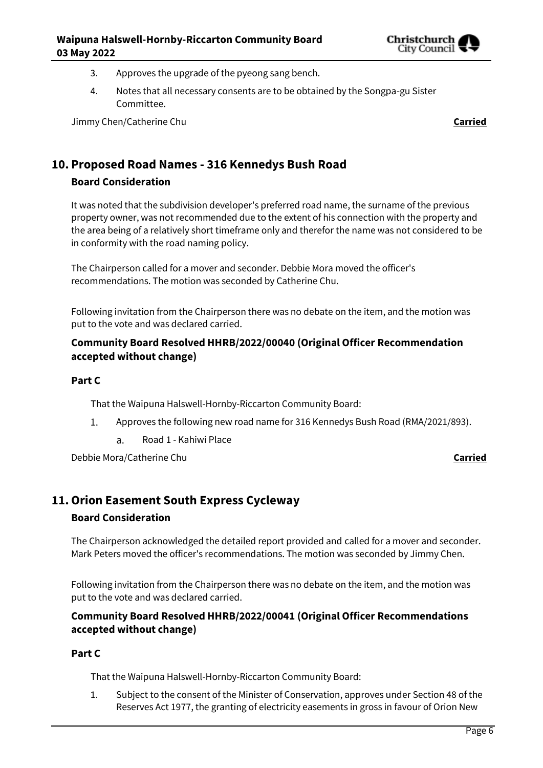

- 3. Approves the upgrade of the pyeong sang bench.
- 4. Notes that all necessary consents are to be obtained by the Songpa-gu Sister Committee.

Jimmy Chen/Catherine Chu **Carried**

## **10. Proposed Road Names - 316 Kennedys Bush Road**

## **Board Consideration**

It was noted that the subdivision developer's preferred road name, the surname of the previous property owner, was not recommended due to the extent of his connection with the property and the area being of a relatively short timeframe only and therefor the name was not considered to be in conformity with the road naming policy.

The Chairperson called for a mover and seconder. Debbie Mora moved the officer's recommendations. The motion was seconded by Catherine Chu.

Following invitation from the Chairperson there was no debate on the item, and the motion was put to the vote and was declared carried.

## **Community Board Resolved HHRB/2022/00040 (Original Officer Recommendation accepted without change)**

#### **Part C**

That the Waipuna Halswell-Hornby-Riccarton Community Board:

- 1. Approves the following new road name for 316 Kennedys Bush Road (RMA/2021/893).
	- Road 1 Kahiwi Place a.

Debbie Mora/Catherine Chu **Carried**

## **11.Orion Easement South Express Cycleway**

#### **Board Consideration**

The Chairperson acknowledged the detailed report provided and called for a mover and seconder. Mark Peters moved the officer's recommendations. The motion was seconded by Jimmy Chen.

Following invitation from the Chairperson there was no debate on the item, and the motion was put to the vote and was declared carried.

## **Community Board Resolved HHRB/2022/00041 (Original Officer Recommendations accepted without change)**

#### **Part C**

That the Waipuna Halswell-Hornby-Riccarton Community Board:

1. Subject to the consent of the Minister of Conservation, approves under Section 48 of the Reserves Act 1977, the granting of electricity easements in gross in favour of Orion New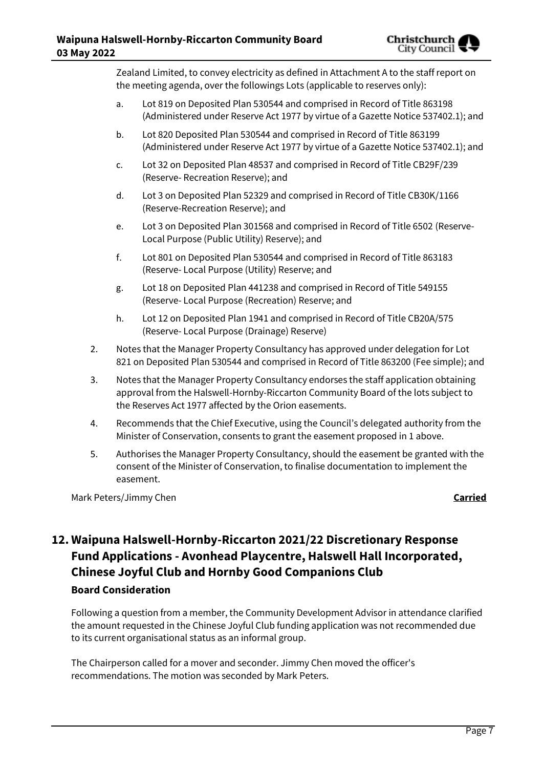Zealand Limited, to convey electricity as defined in Attachment A to the staff report on the meeting agenda, over the followings Lots (applicable to reserves only):

- a. Lot 819 on Deposited Plan 530544 and comprised in Record of Title 863198 (Administered under Reserve Act 1977 by virtue of a Gazette Notice 537402.1); and
- b. Lot 820 Deposited Plan 530544 and comprised in Record of Title 863199 (Administered under Reserve Act 1977 by virtue of a Gazette Notice 537402.1); and
- c. Lot 32 on Deposited Plan 48537 and comprised in Record of Title CB29F/239 (Reserve- Recreation Reserve); and
- d. Lot 3 on Deposited Plan 52329 and comprised in Record of Title CB30K/1166 (Reserve-Recreation Reserve); and
- e. Lot 3 on Deposited Plan 301568 and comprised in Record of Title 6502 (Reserve-Local Purpose (Public Utility) Reserve); and
- f. Lot 801 on Deposited Plan 530544 and comprised in Record of Title 863183 (Reserve- Local Purpose (Utility) Reserve; and
- g. Lot 18 on Deposited Plan 441238 and comprised in Record of Title 549155 (Reserve- Local Purpose (Recreation) Reserve; and
- h. Lot 12 on Deposited Plan 1941 and comprised in Record of Title CB20A/575 (Reserve- Local Purpose (Drainage) Reserve)
- 2. Notes that the Manager Property Consultancy has approved under delegation for Lot 821 on Deposited Plan 530544 and comprised in Record of Title 863200 (Fee simple); and
- 3. Notes that the Manager Property Consultancy endorses the staff application obtaining approval from the Halswell-Hornby-Riccarton Community Board of the lots subject to the Reserves Act 1977 affected by the Orion easements.
- 4. Recommends that the Chief Executive, using the Council's delegated authority from the Minister of Conservation, consents to grant the easement proposed in 1 above.
- 5. Authorises the Manager Property Consultancy, should the easement be granted with the consent of the Minister of Conservation, to finalise documentation to implement the easement.

Mark Peters/Jimmy Chen **Carried**

## **12. Waipuna Halswell-Hornby-Riccarton 2021/22 Discretionary Response Fund Applications - Avonhead Playcentre, Halswell Hall Incorporated, Chinese Joyful Club and Hornby Good Companions Club Board Consideration**

Following a question from a member, the Community Development Advisor in attendance clarified the amount requested in the Chinese Joyful Club funding application was not recommended due to its current organisational status as an informal group.

The Chairperson called for a mover and seconder. Jimmy Chen moved the officer's recommendations. The motion was seconded by Mark Peters.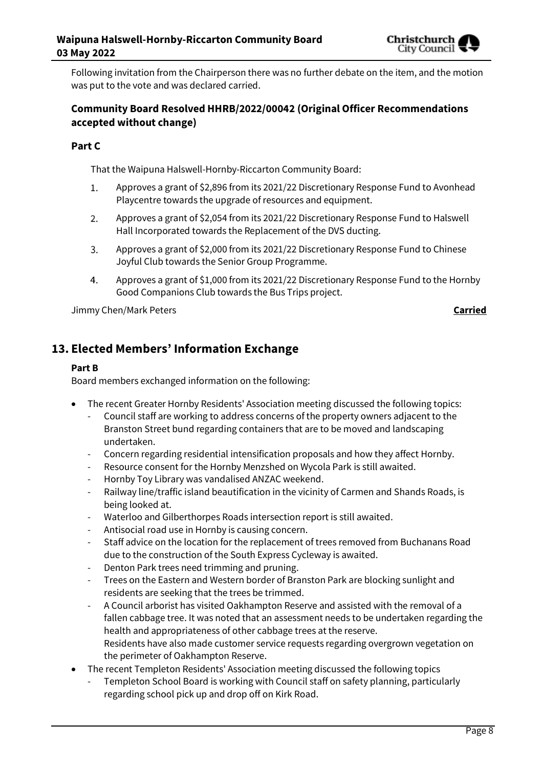

Following invitation from the Chairperson there was no further debate on the item, and the motion was put to the vote and was declared carried.

## **Community Board Resolved HHRB/2022/00042 (Original Officer Recommendations accepted without change)**

## **Part C**

That the Waipuna Halswell-Hornby-Riccarton Community Board:

- $1.$ Approves a grant of \$2,896 from its 2021/22 Discretionary Response Fund to Avonhead Playcentre towards the upgrade of resources and equipment.
- $2.$ Approves a grant of \$2,054 from its 2021/22 Discretionary Response Fund to Halswell Hall Incorporated towards the Replacement of the DVS ducting.
- $3.$ Approves a grant of \$2,000 from its 2021/22 Discretionary Response Fund to Chinese Joyful Club towards the Senior Group Programme.
- $4.$ Approves a grant of \$1,000 from its 2021/22 Discretionary Response Fund to the Hornby Good Companions Club towards the Bus Trips project.

Jimmy Chen/Mark Peters **Carried**

## **13. Elected Members' Information Exchange**

#### **Part B**

Board members exchanged information on the following:

- The recent Greater Hornby Residents' Association meeting discussed the following topics:
	- Council staff are working to address concerns of the property owners adjacent to the Branston Street bund regarding containers that are to be moved and landscaping undertaken.
	- Concern regarding residential intensification proposals and how they affect Hornby.
	- Resource consent for the Hornby Menzshed on Wycola Park is still awaited.
	- Hornby Toy Library was vandalised ANZAC weekend.
	- Railway line/traffic island beautification in the vicinity of Carmen and Shands Roads, is being looked at.
	- Waterloo and Gilberthorpes Roads intersection report is still awaited.
	- Antisocial road use in Hornby is causing concern.
	- Staff advice on the location for the replacement of trees removed from Buchanans Road due to the construction of the South Express Cycleway is awaited.
	- Denton Park trees need trimming and pruning.
	- Trees on the Eastern and Western border of Branston Park are blocking sunlight and residents are seeking that the trees be trimmed.
	- A Council arborist has visited Oakhampton Reserve and assisted with the removal of a fallen cabbage tree. It was noted that an assessment needs to be undertaken regarding the health and appropriateness of other cabbage trees at the reserve. Residents have also made customer service requests regarding overgrown vegetation on the perimeter of Oakhampton Reserve.
- The recent Templeton Residents' Association meeting discussed the following topics
	- Templeton School Board is working with Council staff on safety planning, particularly regarding school pick up and drop off on Kirk Road.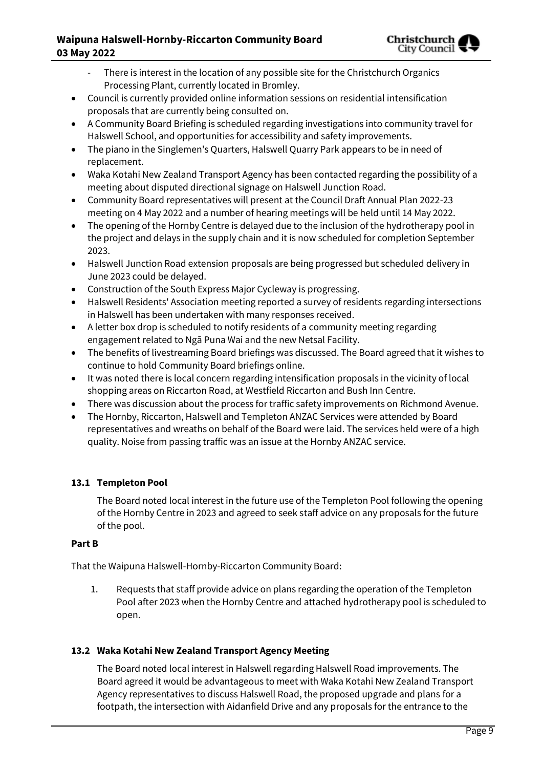## **Waipuna Halswell-Hornby-Riccarton Community Board 03 May 2022**



- There is interest in the location of any possible site for the Christchurch Organics Processing Plant, currently located in Bromley.
- Council is currently provided online information sessions on residential intensification proposals that are currently being consulted on.
- A Community Board Briefing is scheduled regarding investigations into community travel for Halswell School, and opportunities for accessibility and safety improvements.
- The piano in the Singlemen's Quarters, Halswell Quarry Park appears to be in need of replacement.
- Waka Kotahi New Zealand Transport Agency has been contacted regarding the possibility of a meeting about disputed directional signage on Halswell Junction Road.
- Community Board representatives will present at the Council Draft Annual Plan 2022-23 meeting on 4 May 2022 and a number of hearing meetings will be held until 14 May 2022.
- The opening of the Hornby Centre is delayed due to the inclusion of the hydrotherapy pool in the project and delays in the supply chain and it is now scheduled for completion September 2023.
- Halswell Junction Road extension proposals are being progressed but scheduled delivery in June 2023 could be delayed.
- Construction of the South Express Major Cycleway is progressing.
- Halswell Residents' Association meeting reported a survey of residents regarding intersections in Halswell has been undertaken with many responses received.
- A letter box drop is scheduled to notify residents of a community meeting regarding engagement related to Ngā Puna Wai and the new Netsal Facility.
- The benefits of livestreaming Board briefings was discussed. The Board agreed that it wishes to continue to hold Community Board briefings online.
- It was noted there is local concern regarding intensification proposals in the vicinity of local shopping areas on Riccarton Road, at Westfield Riccarton and Bush Inn Centre.
- There was discussion about the process for traffic safety improvements on Richmond Avenue.
- The Hornby, Riccarton, Halswell and Templeton ANZAC Services were attended by Board representatives and wreaths on behalf of the Board were laid. The services held were of a high quality. Noise from passing traffic was an issue at the Hornby ANZAC service.

## **13.1 Templeton Pool**

The Board noted local interest in the future use of the Templeton Pool following the opening of the Hornby Centre in 2023 and agreed to seek staff advice on any proposals for the future of the pool.

## **Part B**

That the Waipuna Halswell-Hornby-Riccarton Community Board:

1. Requests that staff provide advice on plans regarding the operation of the Templeton Pool after 2023 when the Hornby Centre and attached hydrotherapy pool is scheduled to open.

## **13.2 Waka Kotahi New Zealand Transport Agency Meeting**

The Board noted local interest in Halswell regarding Halswell Road improvements. The Board agreed it would be advantageous to meet with Waka Kotahi New Zealand Transport Agency representatives to discuss Halswell Road, the proposed upgrade and plans for a footpath, the intersection with Aidanfield Drive and any proposals for the entrance to the